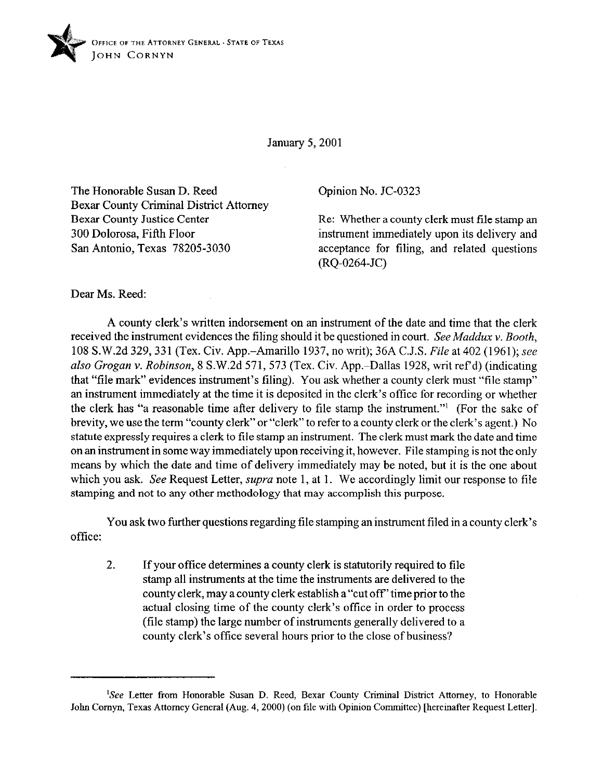

January 5,200l

The Honorable Susan D. Reed Bexar County Criminal District Attorney Bexar County Justice Center 300 Dolorosa, Fifth Floor San Antonio, Texas 78205-3030

Opinion No. JC-0323

Re: Whether a county clerk must file stamp an instrument immediately upon its delivery and acceptance for tiling, and related questions (RQ-0264-JC)

Dear Ms. Reed:

A county clerk's written indorsement on an instrument of the date and time that the clerk received the instrument evidences the filing should it be questioned in *court. See Muddux v. Booth,*  108 S.W.2d 329,331 (Tex. Civ. App.-Amarillo 1937, no writ); 36A C.J.S. *File* at 402 (1961); see *also Grogan v. Robinson,* 8 S.W.2d 571,573 (Tex. Civ. App.-Dallas 1928, writ ref d) (indicating that "file mark" evidences instrument's filing). You ask whether a county clerk must "file stamp" an instrument immediately at the time it is deposited in the clerk's office for recording or whether the clerk has "a reasonable time after delivery to file stamp the instrument."' (For the sake of brevity, we use the term "county clerk" or "clerk" to refer to a county clerk or the clerk's agent.) No statute expressly requires a clerk to tile stamp an instrument. The clerk must mark the date and time on an instrument in some way immediately upon receiving it, however. File stamping is not the only means by which the date and time of delivery immediately may be noted, but it is the one about which you ask. See Request Letter, *supra* note 1, at 1. We accordingly limit our response to file stamping and not to any other methodology that may accomplish this purpose.

You ask two further questions regarding file stamping an instrument filed in a county clerk's office:

2. If your office determines a county clerk is statutorily required to file stamp all instruments at the time the instruments are delivered to the county clerk, may a county clerk establish a "cut off' time prior to the actual closing time of the county clerk's office in order to process (file stamp) the large number of instruments generally delivered to a county clerk's office several hours prior to the close of business?

<sup>&#</sup>x27;See Letter from Honorable Susan D. Reed, Bexar County Criminal District Attorney, to Honorable John Comyn, Texas Attorney General (Aug. 4,200O) (on file with Opinion Committee) [hereinafter Request Letter].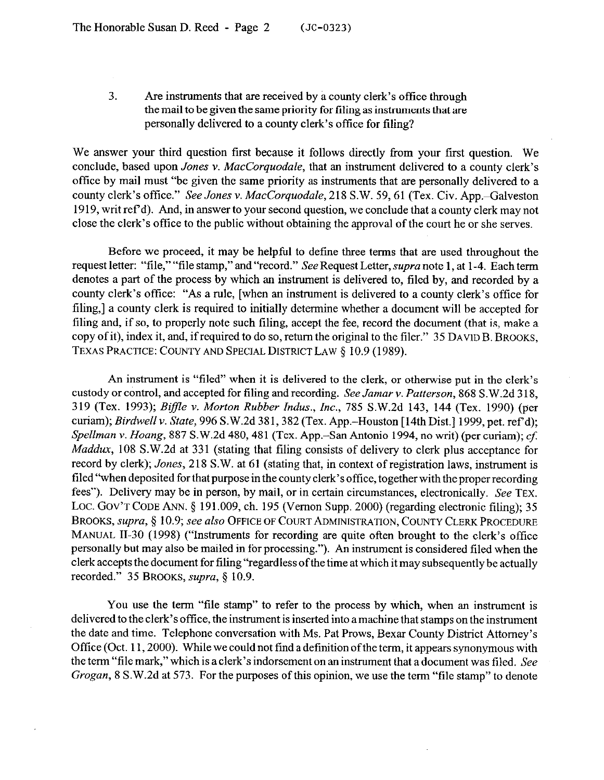3. Are instruments that are received by a county clerk's office through the mail to be given the same priority for filing as instruments that are personally delivered to a county clerk's office for filing?

We answer your third question first because it follows directly from your first question. We conclude, based upon *Jones* v. *MucCorquodale,* that an instrument delivered to a county clerk's offlice by mail must "be given the same priority as instruments that are personally delivered to a county clerk's office." *See Jones v. Maccorquodale,* 218 S.W. 59,61 (Tex. Civ. App.-Galveston 1919, writ ref d). And, in answer to your second question, we conclude that a county clerk may not close the clerk's office to the public without obtaining the approval of the court he or she serves.

Before we proceed, it may be helpful to define three terms that are used throughout the request letter: "file," "file stamp," and "record." See Request Letter, supra note 1, at 1-4. Each term denotes a part of the process by which an instrument is delivered to, filed by, and recorded by a county clerk's office: "As a rule, [when an instrument is delivered to a county clerk's office for filing,] a county clerk is required to initially determine whether a document will be accepted for filing and, if so, to properly note such filing, accept the fee, record the document (that is, make a copy of it), index it, and, if required to do so, return the original to the filer." 35 DAVID B. BROOKS, TEXAS PRACTICE: COUNTY AND SPECIAL DISTRICT LAW § 10.9 (1989).

An instrument is "filed" when it is delivered to the clerk, or otherwise put in the clerk's custody or control, and accepted for filing and recording. *See Jamar v. Patterson, 868* S.W.2d 3 18, 319 (Tex. 1993); *Biffle v. Morton Rubber Indus., Inc., 785* S.W.2d 143, 144 (Tex. 1990) (per *curiam); Birdwell v. State, 996 S.W.2d 381, 382 (Tex. App.–Houston [14th Dist.] 1999, pet. ref'd); Spellman* v. *Hoang,* 887 S.W.2d 480,481 (Tex. App.-San Antonio 1994, no writ) (per curiam); cf: *Muddux,* 108 S.W.2d at 331 (stating that filing consists of delivery to clerk plus acceptance for record by clerk); *Jones,* 218 S.W. at 61 (stating that, in context of registration laws, instrument is filed "when deposited for that purpose in the county clerk's office, together with the proper recording fees"). Delivery may be in person, by mail, or in certain circumstances, electronically. See TEX. LOC. GOV'T CODE ANN. § 191.009, ch. 195 (Vernon Supp. 2000) (regarding electronic filing); 35 BROOKS, *supra*, § 10.9; see also OFFICE OF COURT ADMINISTRATION, COUNTY CLERK PROCEDURE MANUAL II-30 (1998) ("Instruments for recording are quite often brought to the clerk's office personally but may also be mailed in for processing."). An instrument is considered filed when the clerk accepts the document for filing "regardless ofthe time at which it may subsequently be actually recorded." 35 BROOKS, *supra, 3 10.9.* 

You use the term "file stamp" to refer to the process by which, when an instrument is delivered to the clerk's office, the instrument is inserted into amachine that stamps on the instrument the date and time. Telephone conversation with Ms. Pat Prows, Bexar County District Attorney's Office (Oct. 11, 2000). While we could not find a definition of the term, it appears synonymous with the term "file mark," which is a clerk's indorsement on an instrument that a document was filed. See *Grogan,* 8 S.W.2d at 573. For the purposes of this opinion, we use the term "file stamp" to denote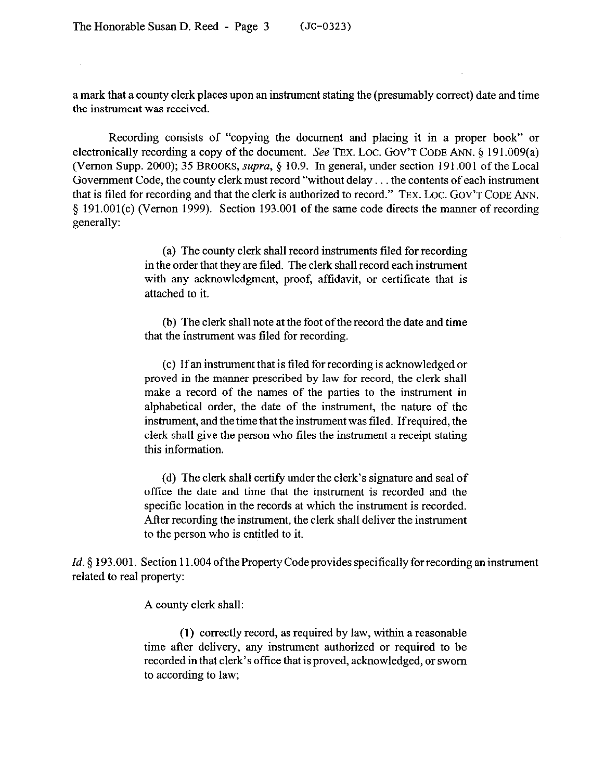a mark that a county clerk places upon an instrument stating the (presumably correct) date and time the instrument was received.

Recording consists of "copying the document and placing it in a proper book" or electronically recording a copy of the document. See TEX. LOC. GOV'T CODE ANN,  $\S$  191.009(a) (Vernon Supp. 2000); 35 BROOKS, *supra,* 3 10.9. In general, under section 191.001 of the Local Government Code, the county clerk must record "without delay... the contents of each instrument that is tiled for recording and that the clerk is authorized to record." TEX. LOC. GOV'T CODE ANN. 5 191.001(c) (Vernon 1999). Section 193.001 of the same code directs the manner of recording generally:

> (a) The county clerk shall record instruments tiled for recording in the order that they are filed. The clerk shall record each instrument with any acknowledgment, proof, affidavit, or certificate that is attached to it.

> (b) The clerk shall note at the foot of the record the date and time that the instrument was filed for recording.

> (c) If an instrument that is tiled for recording is acknowledged or proved in the manner prescribed by law for record, the clerk shall make a record of the names of the parties to the instrument in alphabetical order, the date of the instrument, the nature of the instrument, and the time that the instrument was tiled. Ifrequired, the clerk shall give the person who tiles the instrument a receipt stating this information.

> (d) The clerk shall certify under the clerk's signature and seal of office the date and time that the instrument is recorded and the specific location in the records at which the instrument is recorded. After recording the instrument, the clerk shall deliver the instrument to the person who is entitled to it.

*Id.* § 193.001. Section 11.004 of the Property Code provides specifically for recording an instrument related to real property:

A county clerk shall:

(1) correctly record, as required by law, within a reasonable time after delivery, any instrument authorized or required to be recorded in that clerk's office that is proved, acknowledged, or sworn to according to law;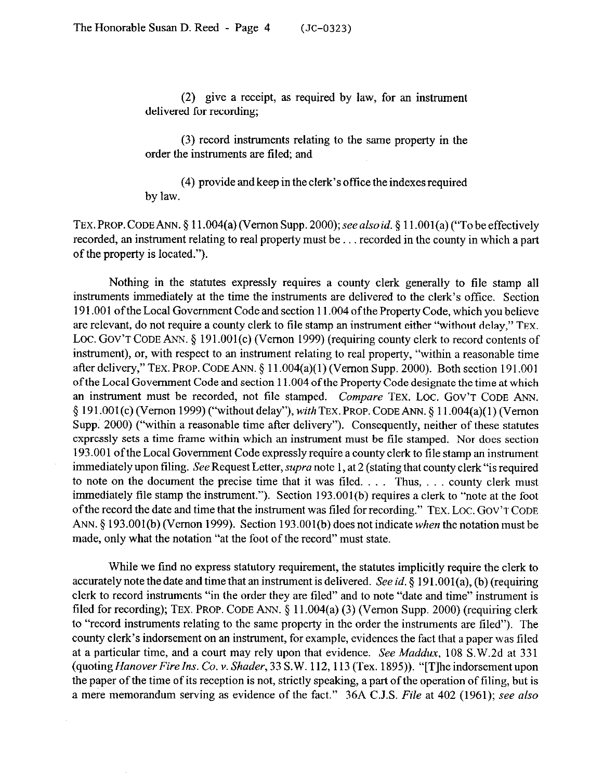(2) give a receipt, as required by law, for an instrument delivered for recording;

(3) record instruments relating to the same property in the order the instruments are filed; and

(4) provide and keep in the clerk's office the indexes required by law.

TEX.PROP. CODE ANN. § 11.004(a) (Vernon Supp. *2000);seealsoid.* § 11.001(a) ("To be effectively recorded, an instrument relating to real property must be... recorded in the county in which a part of the property is located.").

Nothing in the statutes expressly requires a county clerk generally to tile stamp all instruments immediately at the time the instruments are delivered to the clerk's office. Section 191.001 of the Local Government Code and section 11.004 of the Property Code, which you believe are relevant, do not require a county clerk to file stamp an instrument either "without delay," TEX. LOC. GOV'T CODE ANN. § 191.001(c) (Vernon 1999) (requiring county clerk to record contents of instrument), or, with respect to an instrument relating to real property, 'within a reasonable time after delivery," TEX. PROP. CODE ANN. § 11.004(a)(1) (Vernon Supp. 2000). Both section 191.001 of the Local Government Code and section 11.004 of the Property Code designate the time at which an instrument must be recorded, not tile stamped. *Compare* TEX. LOC. GOV'T CODE ANN. 4 191.001(c) (Vernon 1999) ("without delay"), *with* TEX. PROP. CODE ANN. 5 ll.O04(a)( 1) (Vernon Supp. 2000) ("within a reasonable time after delivery"). Consequently, neither of these statutes expressly sets a time frame within which an instrument must be tile stamped. Nor does section 193.001 of the Local Government Code expressly require a county clerk to tile stamp an instrument immediately upon tiling. See Request Letter, *supra* note 1, at 2 (stating that county clerk "is required to note on the document the precise time that it was filed.  $\dots$  Thus,  $\dots$  county clerk must immediately file stamp the instrument."). Section 193.001(b) requires a clerk to "note at the foot of the record the date and time that the instrument was filed for recording." TEX. LOC. GOV'T CODE ANN. § 193.001(b) (Vernon 1999). Section 193.001(b) does not indicate *when* the notation must be made, only what the notation "at the foot of the record" must state.

While we find no express statutory requirement, the statutes implicitly require the clerk to accurately note the date and time that an instrument is delivered. See id. § 191.001(a), (b) (requiring clerk to record instruments "in the order they are tiled" and to note "date and time" instrument is filed for recording); TEX. PROP. CODE ANN. \$ 11.004(a) (3) (Vernon Supp. 2000) (requiring clerk to "record instruments relating to the same property in the order the instruments are tiled"). The county clerk's indorsement on an instrument, for example, evidences the fact that a paper was filed at a particular time, and a court may rely upon that evidence. See *Maddox, 108* S.W.2d at 33 1 (quoting *Hanover Fire Ins. Co. v. Shader,* 33 S.W. 112, 113 (Tex. 1895)). "[T]he indorsement upon the paper of the time of its reception is not, strictly speaking, a part of the operation of tiling, but is a mere memorandum serving as evidence of the fact." 36A C.J.S. *File* at 402 (1961); see also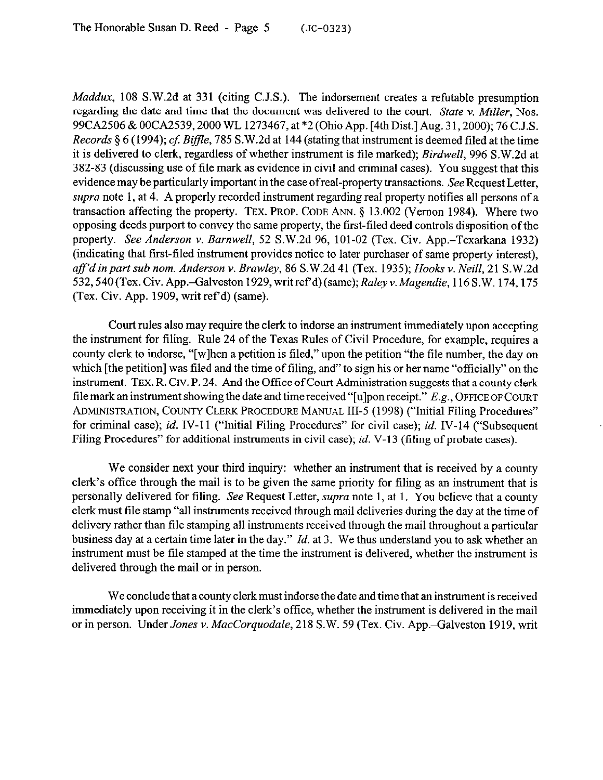*Maddux*, 108 S.W.2d at 331 (citing C.J.S.). The indorsement creates a refutable presumption regarding the date and time that the document was delivered to the court. *State v. Miller, Nos.*  99CA2506 & OOCA2539,2000 WL 1273467, at \*2 (Ohio App. [4th Dist.] Aug. 3 1,200O); 76 C.J.S. *Records* § 6 (1994); *cf. Biffle*, 785 S.W.2d at 144 (stating that instrument is deemed filed at the time it is delivered to clerk, regardless of whether instrument is file marked); *Birdwell, 996* S.W.2d at 3X2-83 (discussing use of tile mark as evidence in civil and criminal cases). You suggest that this evidence may be particularly important in the case of real-property transactions. See Request Letter, *supra* note 1, at 4. A properly recorded instrument regarding real property notifies all persons of a transaction affecting the property. TEX. PROP. CODE ANN. § 13.002 (Vernon 1984). Where two opposing deeds purport to convey the same property, the first-tiled deed controls disposition of the property. *See Anderson v. Barnwell, 52* S.W.2d 96, 101-02 (Tex. Civ. App.-Texarkana 1932) (indicating that first-filed instrument provides notice to later purchaser of same property interest). *aff'd in part sub nom. Anderson Y. Brawley, 86* S.W.2d 41 (Tex. 1935); *Hooks v. Neill, 21* S.W.2d 532, 540 (Tex. Civ. App.-Galveston 1929, writ ref'd) (same); *Raley v. Magendie*, 116 S.W. 174, 175 (Tex. Civ. App. 1909, writ ref d) (same).

Court rules also may require the clerk to indorse an instrument immediately upon accepting the instrument for filing. Rule 24 of the Texas Rules of Civil Procedure, for example, requires a county clerk to indorse, "[wlhen a petition is filed," upon the petition "the file number, the day on which [the petition] was filed and the time of filing, and" to sign his or her name "officially" on the instrument. **TEX.** R. Crv. P. 24. And the Office of Court Administration suggests that a county clerk file mark an instrument showing the date and time received "[u]pon receipt." E.g., OFFICE OF COURT **~LDMINISTFMTION, COLINTY CLERK PROCEDURE** MANUAL III-5 (199X) ("Initial Filing Procedures" for criminal case); *id.* IV-1 1 ("Initial Filing Procedures" for civil case); *id.* IV-14 ("Subsequent Filing Procedures" for additional instruments in civil case); *id.* V-13 (filing of probate cases).

We consider next your third inquiry: whether an instrument that is received by a county clerk's office through the mail is to be given the same priority for filing as an instrument that is personally delivered for tiling. See Request Letter, *supra* note 1, at 1. You believe that a county clerk must file stamp "all instruments received through mail deliveries during the day at the time of delivery rather than file stamping all instruments received through the mail throughout a particular business day at a certain time later in the day." *Id.* at 3. We thus understand you to ask whether an instrument must be tile stamped at the time the instrument is delivered, whether the instrument is delivered through the mail or in person.

We conclude that a county clerk must indorse the date and time that an instrument is received immediately upon receiving it in the clerk's office, whether the instrument is delivered in the mail or in person. Under *Jones v. MacCorquodale*, 218 S.W. 59 (Tex. Civ. App.-Galveston 1919, writ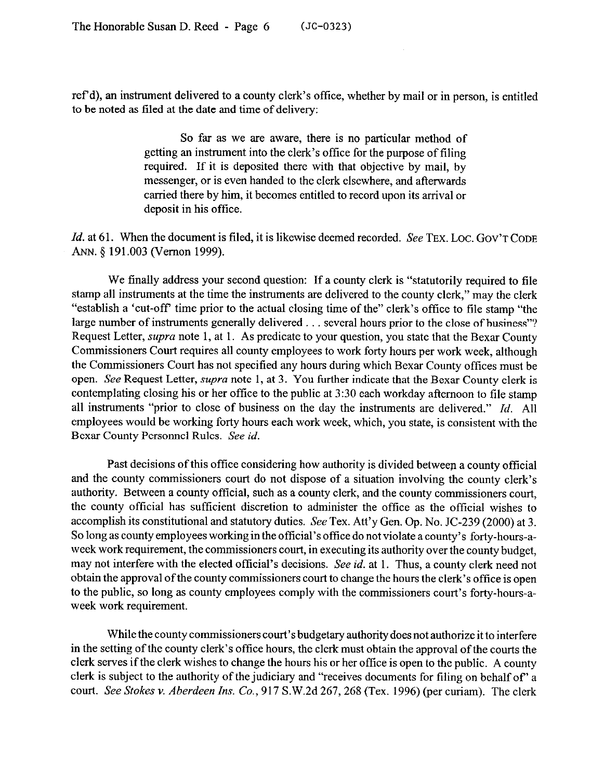ref d), an instrument delivered to a county clerk's office, whether by mail or in person, is entitled to be noted as filed at the date and time of delivery:

> So far as we are aware, there is no particular method of getting an instrument into the clerk's office for the purpose of filing required. If it is deposited there with that objective by mail, by messenger, or is even handed to the clerk elsewhere, and afterwards carried there by him, it becomes entitled to record upon its arrival or deposit in his office.

*Id.* at 61. When the document is filed, it is likewise deemed recorded. See TEX. LOC. GOV'T CODE ANN. 8 191.003 (Vernon 1999).

We finally address your second question: If a county clerk is "statutorily required to file stamp all instruments at the time the instruments are delivered to the county clerk," may the clerk "establish a 'cut-off time prior to the actual closing time of the" clerk's office to file stamp "the large number of instruments generally delivered . . . several hours prior to the close of business"? Request Letter, supra note 1, at 1. As predicate to your question, you state that the Bexar County Commissioners Court requires all county employees to work forty hours per work week, although the Commissioners Court has not specified any hours during which Bexar County offices must be open. See Request Letter, *supra* note 1, at 3. You further indicate that the Bexar County clerk is contemplating closing his or her office to the public at 3:30 each workday afternoon to tile stamp all instruments "prior to close of business on the day the instruments are delivered." *Id.* All employees would be working forty hours each work week, which, you state, is consistent with the Bexar County Personnel Rules. See *id.* 

Past decisions of this office considering how authority is divided between a county official and the county commissioners court do not dispose of a situation involving the county clerk's authority. Between a county official, such as a county clerk, and the county commissioners court, the county official has sufficient discretion to administer the office as the official wishes to accomplish its constitutional and statutory duties. See Tex. Att'y Gen. Op. No. JC-239 (2000) at 3. So long as county employees working in the official's office do not violate a county's forty-hours-aweek work requirement, the commissioners court, in executing its authority over the county budget, may not interfere with the elected official's decisions. See *id.* at 1. Thus, a county clerk need not obtain the approval of the county commissioners court to change the hours the clerk's office is open to the public, so long as county employees comply with the commissioners court's forty-hours-aweek work requirement.

While the county commissioners court's budgetary authority doesnot authorize it to interfere in the setting of the county clerk's office hours, the clerk must obtain the approval of the courts the clerk serves if the clerk wishes to change the hours his or her office is open to the public. A county clerk is subject to the authority of the judiciary and "receives documents for tiling on behalf of" a *court. See Stokes v. Aberdeen* Ins. Co., 917 S.W.2d 267,268 (Tex. 1996) (per curiam). The clerk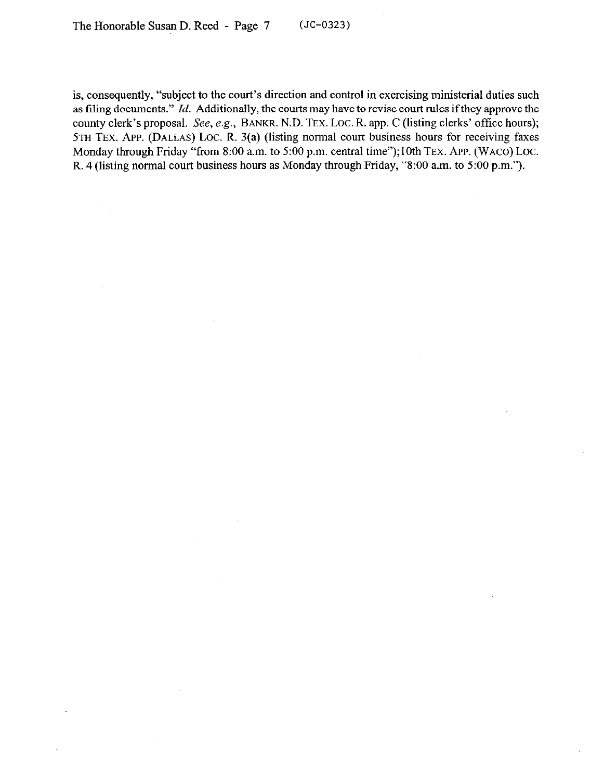is, consequently, "subject to the court's direction and control in exercising ministerial duties such as tiling documents." *Id.* Additionally, the courts may have to revise court rules ifthey approve the county clerk's proposal. See, e.g., BANKR. N.D. TEX. LOC. R. app. C (listing clerks' office hours); 5TH TEX. APP. (DALLAS) LOC. R. 3(a) (listing normal court business hours for receiving faxes Monday through Friday "from 8:00 a.m. to 5:00 p.m. central time");10th TEX. APP. (WACO) LOC. R. 4 (listing normal court business hours as Monday through Friday, "8:OO a.m. to 5:00 p.m.").